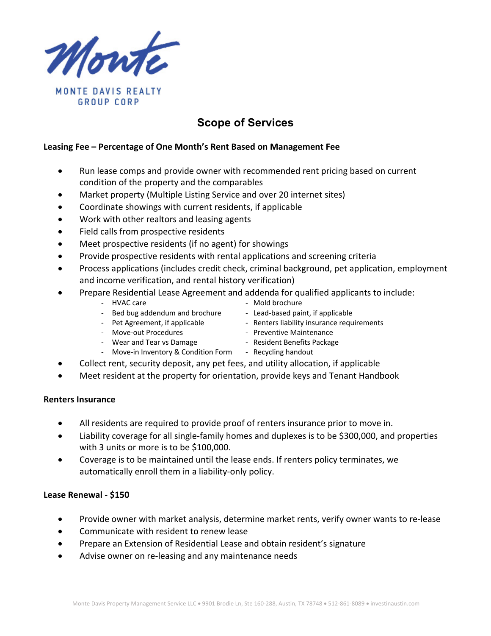

# **Scope of Services**

#### **Leasing Fee – Percentage of One Month's Rent Based on Management Fee**

- Run lease comps and provide owner with recommended rent pricing based on current condition of the property and the comparables
- Market property (Multiple Listing Service and over 20 internet sites)
- Coordinate showings with current residents, if applicable
- Work with other realtors and leasing agents
- Field calls from prospective residents
- Meet prospective residents (if no agent) for showings
- Provide prospective residents with rental applications and screening criteria
- Process applications (includes credit check, criminal background, pet application, employment and income verification, and rental history verification)
- Prepare Residential Lease Agreement and addenda for qualified applicants to include:
	- HVAC care  $\overline{a}$  Mold brochure
	- Bed bug addendum and brochure Lead-based paint, if applicable
	- Pet Agreement, if applicable  $\qquad \qquad$  Renters liability insurance requirements
	- Move-out Procedures **Access Entity Contract Preventive Maintenance**
	- Wear and Tear vs Damage  **All and Senate Package Wear and Tear vs Damage**
	- Move-in Inventory & Condition Form Recycling handout
- 
- 
- Collect rent, security deposit, any pet fees, and utility allocation, if applicable
- Meet resident at the property for orientation, provide keys and Tenant Handbook

#### **Renters Insurance**

- All residents are required to provide proof of renters insurance prior to move in.
- Liability coverage for all single-family homes and duplexes is to be \$300,000, and properties with 3 units or more is to be \$100,000.
- Coverage is to be maintained until the lease ends. If renters policy terminates, we automatically enroll them in a liability-only policy.

#### **Lease Renewal - \$150**

- Provide owner with market analysis, determine market rents, verify owner wants to re-lease
- Communicate with resident to renew lease
- Prepare an Extension of Residential Lease and obtain resident's signature
- Advise owner on re-leasing and any maintenance needs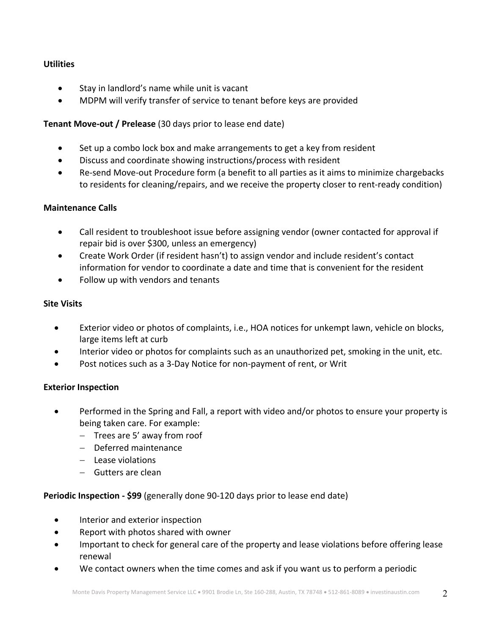# **Utilities**

- Stay in landlord's name while unit is vacant
- MDPM will verify transfer of service to tenant before keys are provided

# **Tenant Move-out / Prelease** (30 days prior to lease end date)

- Set up a combo lock box and make arrangements to get a key from resident
- Discuss and coordinate showing instructions/process with resident
- Re-send Move-out Procedure form (a benefit to all parties as it aims to minimize chargebacks to residents for cleaning/repairs, and we receive the property closer to rent-ready condition)

# **Maintenance Calls**

- Call resident to troubleshoot issue before assigning vendor (owner contacted for approval if repair bid is over \$300, unless an emergency)
- Create Work Order (if resident hasn't) to assign vendor and include resident's contact information for vendor to coordinate a date and time that is convenient for the resident
- Follow up with vendors and tenants

# **Site Visits**

- Exterior video or photos of complaints, i.e., HOA notices for unkempt lawn, vehicle on blocks, large items left at curb
- Interior video or photos for complaints such as an unauthorized pet, smoking in the unit, etc.
- Post notices such as a 3-Day Notice for non-payment of rent, or Writ

# **Exterior Inspection**

- Performed in the Spring and Fall, a report with video and/or photos to ensure your property is being taken care. For example:
	- Trees are 5' away from roof
	- Deferred maintenance
	- Lease violations
	- Gutters are clean

# **Periodic Inspection - \$99** (generally done 90-120 days prior to lease end date)

- Interior and exterior inspection
- Report with photos shared with owner
- Important to check for general care of the property and lease violations before offering lease renewal
- We contact owners when the time comes and ask if you want us to perform a periodic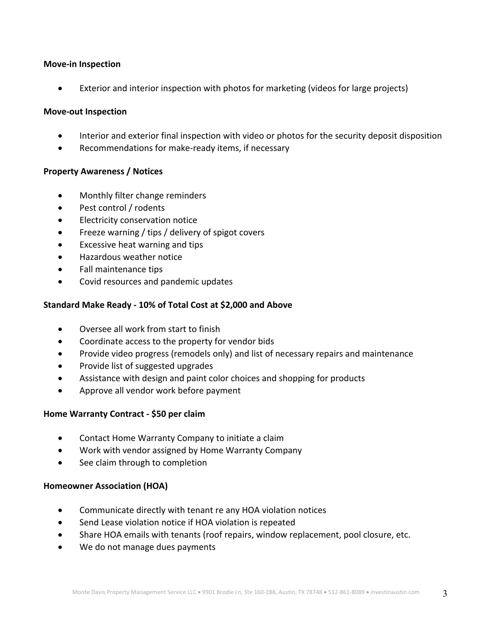#### **Move-in Inspection**

Exterior and interior inspection with photos for marketing (videos for large projects)

#### **Move-out Inspection**

- Interior and exterior final inspection with video or photos for the security deposit disposition
- Recommendations for make-ready items, if necessary

# **Property Awareness / Notices**

- Monthly filter change reminders
- Pest control / rodents
- Electricity conservation notice
- Freeze warning / tips / delivery of spigot covers
- Excessive heat warning and tips
- Hazardous weather notice
- Fall maintenance tips
- Covid resources and pandemic updates

# **Standard Make Ready - 10% of Total Cost at \$2,000 and Above**

- Oversee all work from start to finish
- Coordinate access to the property for vendor bids
- Provide video progress (remodels only) and list of necessary repairs and maintenance
- Provide list of suggested upgrades
- Assistance with design and paint color choices and shopping for products
- Approve all vendor work before payment

# **Home Warranty Contract - \$50 per claim**

- Contact Home Warranty Company to initiate a claim
- Work with vendor assigned by Home Warranty Company
- See claim through to completion

# **Homeowner Association (HOA)**

- Communicate directly with tenant re any HOA violation notices
- Send Lease violation notice if HOA violation is repeated
- Share HOA emails with tenants (roof repairs, window replacement, pool closure, etc.
- We do not manage dues payments